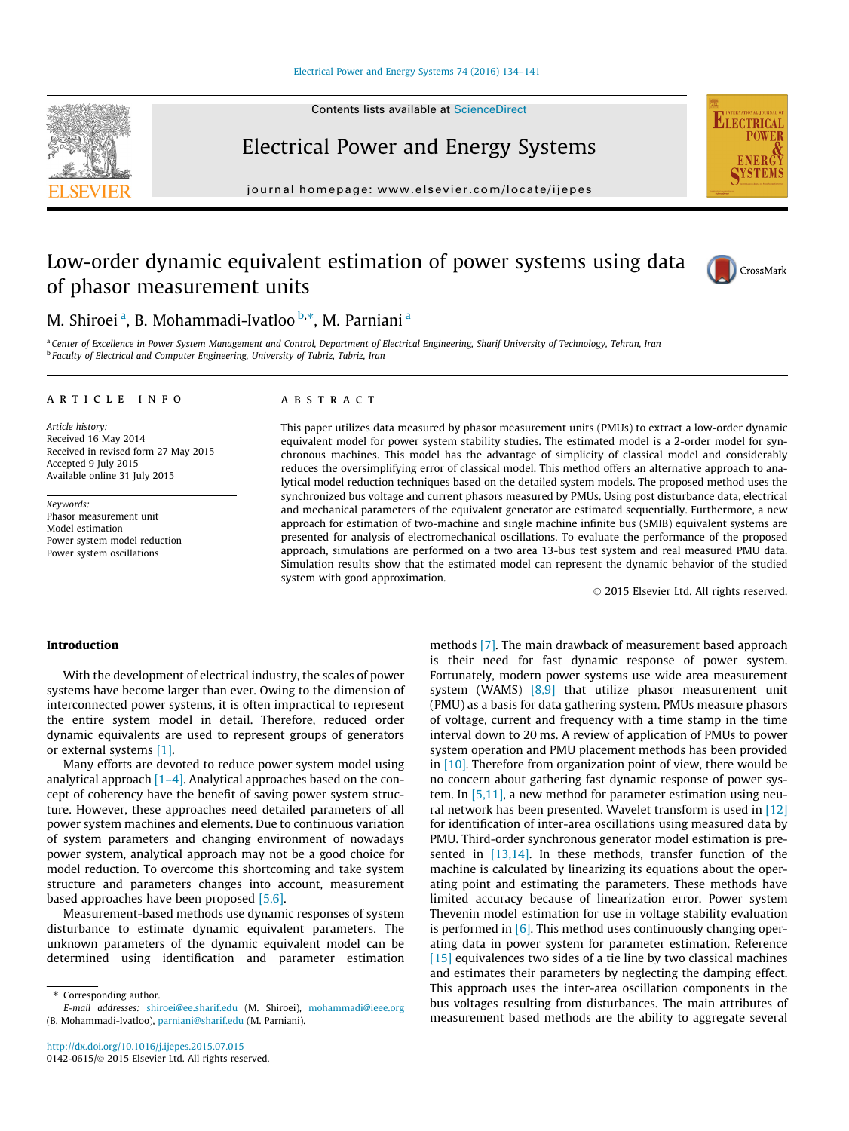#### [Electrical Power and Energy Systems 74 \(2016\) 134–141](http://dx.doi.org/10.1016/j.ijepes.2015.07.015)

Contents lists available at [ScienceDirect](http://www.sciencedirect.com/science/journal/01420615)



Electrical Power and Energy Systems

journal homepage: [www.elsevier.com/locate/ijepes](http://www.elsevier.com/locate/ijepes)

## Low-order dynamic equivalent estimation of power systems using data of phasor measurement units



**ELECTRICA** 

### M. Shiroei <sup>a</sup>, B. Mohammadi-Ivatloo <sup>b,</sup>\*, M. Parniani <sup>a</sup>

a Center of Excellence in Power System Management and Control, Department of Electrical Engineering, Sharif University of Technology, Tehran, Iran **b** Faculty of Electrical and Computer Engineering, University of Tabriz, Tabriz, Iran

#### article info

Article history: Received 16 May 2014 Received in revised form 27 May 2015 Accepted 9 July 2015 Available online 31 July 2015

Keywords: Phasor measurement unit Model estimation Power system model reduction Power system oscillations

#### **ABSTRACT**

This paper utilizes data measured by phasor measurement units (PMUs) to extract a low-order dynamic equivalent model for power system stability studies. The estimated model is a 2-order model for synchronous machines. This model has the advantage of simplicity of classical model and considerably reduces the oversimplifying error of classical model. This method offers an alternative approach to analytical model reduction techniques based on the detailed system models. The proposed method uses the synchronized bus voltage and current phasors measured by PMUs. Using post disturbance data, electrical and mechanical parameters of the equivalent generator are estimated sequentially. Furthermore, a new approach for estimation of two-machine and single machine infinite bus (SMIB) equivalent systems are presented for analysis of electromechanical oscillations. To evaluate the performance of the proposed approach, simulations are performed on a two area 13-bus test system and real measured PMU data. Simulation results show that the estimated model can represent the dynamic behavior of the studied system with good approximation.

- 2015 Elsevier Ltd. All rights reserved.

#### Introduction

With the development of electrical industry, the scales of power systems have become larger than ever. Owing to the dimension of interconnected power systems, it is often impractical to represent the entire system model in detail. Therefore, reduced order dynamic equivalents are used to represent groups of generators or external systems [\[1\].](#page--1-0)

Many efforts are devoted to reduce power system model using analytical approach  $[1-4]$ . Analytical approaches based on the concept of coherency have the benefit of saving power system structure. However, these approaches need detailed parameters of all power system machines and elements. Due to continuous variation of system parameters and changing environment of nowadays power system, analytical approach may not be a good choice for model reduction. To overcome this shortcoming and take system structure and parameters changes into account, measurement based approaches have been proposed [\[5,6\]](#page--1-0).

Measurement-based methods use dynamic responses of system disturbance to estimate dynamic equivalent parameters. The unknown parameters of the dynamic equivalent model can be determined using identification and parameter estimation methods [\[7\].](#page--1-0) The main drawback of measurement based approach is their need for fast dynamic response of power system. Fortunately, modern power systems use wide area measurement system (WAMS) [\[8,9\]](#page--1-0) that utilize phasor measurement unit (PMU) as a basis for data gathering system. PMUs measure phasors of voltage, current and frequency with a time stamp in the time interval down to 20 ms. A review of application of PMUs to power system operation and PMU placement methods has been provided in [\[10\].](#page--1-0) Therefore from organization point of view, there would be no concern about gathering fast dynamic response of power system. In [\[5,11\]](#page--1-0), a new method for parameter estimation using neural network has been presented. Wavelet transform is used in  $[12]$ for identification of inter-area oscillations using measured data by PMU. Third-order synchronous generator model estimation is presented in [\[13,14\]](#page--1-0). In these methods, transfer function of the machine is calculated by linearizing its equations about the operating point and estimating the parameters. These methods have limited accuracy because of linearization error. Power system Thevenin model estimation for use in voltage stability evaluation is performed in  $[6]$ . This method uses continuously changing operating data in power system for parameter estimation. Reference [\[15\]](#page--1-0) equivalences two sides of a tie line by two classical machines and estimates their parameters by neglecting the damping effect. This approach uses the inter-area oscillation components in the bus voltages resulting from disturbances. The main attributes of measurement based methods are the ability to aggregate several

<sup>\*</sup> Corresponding author.

E-mail addresses: [shiroei@ee.sharif.edu](mailto:shiroei@ee.sharif.edu) (M. Shiroei), [mohammadi@ieee.org](mailto:mohammadi@ieee.org) (B. Mohammadi-Ivatloo), [parniani@sharif.edu](mailto:parniani@sharif.edu) (M. Parniani).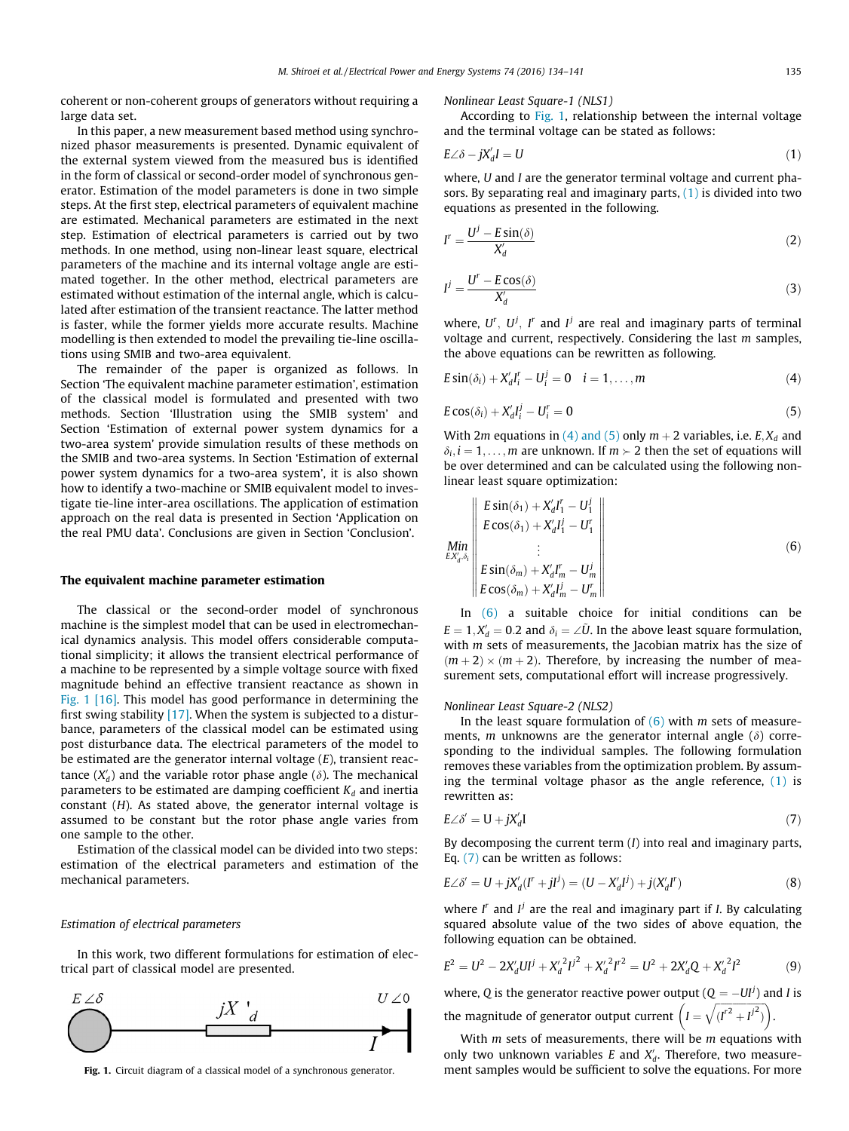coherent or non-coherent groups of generators without requiring a large data set.

In this paper, a new measurement based method using synchronized phasor measurements is presented. Dynamic equivalent of the external system viewed from the measured bus is identified in the form of classical or second-order model of synchronous generator. Estimation of the model parameters is done in two simple steps. At the first step, electrical parameters of equivalent machine are estimated. Mechanical parameters are estimated in the next step. Estimation of electrical parameters is carried out by two methods. In one method, using non-linear least square, electrical parameters of the machine and its internal voltage angle are estimated together. In the other method, electrical parameters are estimated without estimation of the internal angle, which is calculated after estimation of the transient reactance. The latter method is faster, while the former yields more accurate results. Machine modelling is then extended to model the prevailing tie-line oscillations using SMIB and two-area equivalent.

The remainder of the paper is organized as follows. In Section 'The equivalent machine parameter estimation', estimation of the classical model is formulated and presented with two methods. Section 'Illustration using the SMIB system' and Section 'Estimation of external power system dynamics for a two-area system' provide simulation results of these methods on the SMIB and two-area systems. In Section 'Estimation of external power system dynamics for a two-area system', it is also shown how to identify a two-machine or SMIB equivalent model to investigate tie-line inter-area oscillations. The application of estimation approach on the real data is presented in Section 'Application on the real PMU data'. Conclusions are given in Section 'Conclusion'.

#### The equivalent machine parameter estimation

The classical or the second-order model of synchronous machine is the simplest model that can be used in electromechanical dynamics analysis. This model offers considerable computational simplicity; it allows the transient electrical performance of a machine to be represented by a simple voltage source with fixed magnitude behind an effective transient reactance as shown in Fig. 1 [\[16\].](#page--1-0) This model has good performance in determining the first swing stability [\[17\].](#page--1-0) When the system is subjected to a disturbance, parameters of the classical model can be estimated using post disturbance data. The electrical parameters of the model to be estimated are the generator internal voltage  $(E)$ , transient reactance  $(X'_d)$  and the variable rotor phase angle ( $\delta$ ). The mechanical parameters to be estimated are damping coefficient  $K_d$  and inertia constant (H). As stated above, the generator internal voltage is assumed to be constant but the rotor phase angle varies from one sample to the other.

Estimation of the classical model can be divided into two steps: estimation of the electrical parameters and estimation of the mechanical parameters.

#### Estimation of electrical parameters

In this work, two different formulations for estimation of electrical part of classical model are presented.



Nonlinear Least Square-1 (NLS1)

According to Fig. 1, relationship between the internal voltage and the terminal voltage can be stated as follows:

$$
E\angle \delta - jX_d' I = U \tag{1}
$$

where, U and I are the generator terminal voltage and current phasors. By separating real and imaginary parts,  $(1)$  is divided into two equations as presented in the following.

$$
I^r = \frac{U^j - E\sin(\delta)}{X_d^r} \tag{2}
$$

$$
I^{j} = \frac{U^{r} - E\cos(\delta)}{X_{d}'} \tag{3}
$$

where,  $U^r$ ,  $U^j$ ,  $I^r$  and  $I^j$  are real and imaginary parts of terminal voltage and current, respectively. Considering the last m samples, the above equations can be rewritten as following.

$$
E\sin(\delta_i) + X'_dI'_i - U^j_i = 0 \quad i = 1,\ldots,m
$$
\n(4)

$$
E\cos(\delta_i) + X'_d I^j_i - U^r_i = 0
$$
\n<sup>(5)</sup>

With 2*m* equations in (4) and (5) only  $m + 2$  variables, i.e. E,  $X_d$  and  $\delta_i$ ,  $i = 1, \ldots, m$  are unknown. If  $m \succ 2$  then the set of equations will be over determined and can be calculated using the following nonlinear least square optimization:

$$
\lim_{\substack{EX'_{d}, \delta_{i} \\ \delta_{i} \\ E \text{Si}(\delta_{m})}} \left\| \begin{array}{l} E\sin(\delta_{1}) + X'_{d}I'_{1} - U'_{1} \\ E\cos(\delta_{1}) + X'_{d}I'_{1} - U'_{1} \\ \vdots \\ E\sin(\delta_{m}) + X'_{d}I'_{m} - U'_{m} \\ E\cos(\delta_{m}) + X'_{d}I'_{m} - U'_{m} \end{array} \right\| \tag{6}
$$

In (6) a suitable choice for initial conditions can be  $E = 1, X_d' = 0.2$  and  $\delta_i = \angle \tilde{U}$ . In the above least square formulation, with  $m$  sets of measurements, the Jacobian matrix has the size of  $(m + 2) \times (m + 2)$ . Therefore, by increasing the number of measurement sets, computational effort will increase progressively.

Nonlinear Least Square-2 (NLS2)

In the least square formulation of  $(6)$  with *m* sets of measurements, *m* unknowns are the generator internal angle  $(\delta)$  corresponding to the individual samples. The following formulation removes these variables from the optimization problem. By assuming the terminal voltage phasor as the angle reference,  $(1)$  is rewritten as:

$$
E\angle\delta' = U + jX'_d I \tag{7}
$$

By decomposing the current term  $(I)$  into real and imaginary parts, Eq. (7) can be written as follows:

$$
E\angle \delta' = U + jX'_d(I^r + JI^j) = (U - X'_dI^j) + j(X'_dI^r)
$$
\n(8)

where  $I^r$  and  $I^j$  are the real and imaginary part if *I*. By calculating squared absolute value of the two sides of above equation, the following equation can be obtained.

$$
E^{2} = U^{2} - 2X'_{d}UI^{j} + {X'_{d}}^{2}I^{j^{2}} + {X'_{d}}^{2}I^{r^{2}} = U^{2} + 2X'_{d}Q + {X'_{d}}^{2}I^{2}
$$
(9)

where, Q is the generator reactive power output ( $Q = -UI^{j}$ ) and I is the magnitude of generator output current  $I =$  $\frac{1}{\sqrt{2}}$  $(I^{r^2} + I^{j^2})$  $\frac{1}{\sqrt{2}}$ .

With  $m$  sets of measurements, there will be  $m$  equations with only two unknown variables E and  $X_d$ . Therefore, two measure-Fig. 1. Circuit diagram of a classical model of a synchronous generator. Then the samples would be sufficient to solve the equations. For more